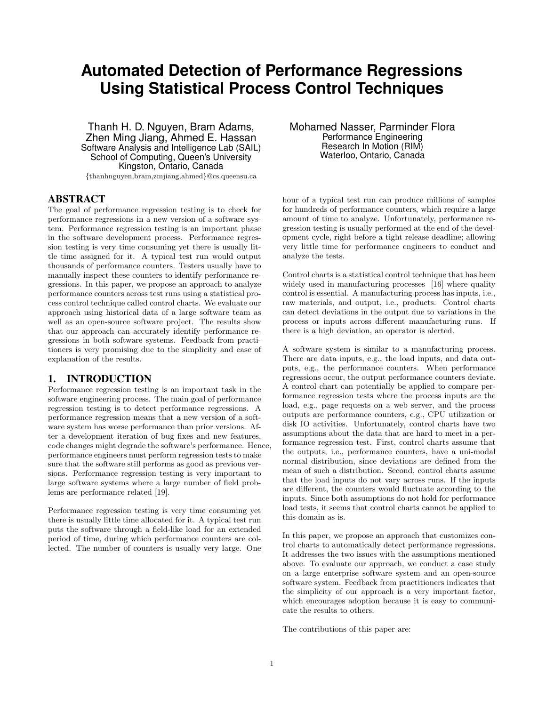# **Automated Detection of Performance Regressions Using Statistical Process Control Techniques**

Thanh H. D. Nguyen, Bram Adams, Zhen Ming Jiang, Ahmed E. Hassan Software Analysis and Intelligence Lab (SAIL) School of Computing, Queen's University Kingston, Ontario, Canada {thanhnguyen,bram,zmjiang,ahmed}@cs.queensu.ca

## ABSTRACT

The goal of performance regression testing is to check for performance regressions in a new version of a software system. Performance regression testing is an important phase in the software development process. Performance regression testing is very time consuming yet there is usually little time assigned for it. A typical test run would output thousands of performance counters. Testers usually have to manually inspect these counters to identify performance regressions. In this paper, we propose an approach to analyze performance counters across test runs using a statistical process control technique called control charts. We evaluate our approach using historical data of a large software team as well as an open-source software project. The results show that our approach can accurately identify performance regressions in both software systems. Feedback from practitioners is very promising due to the simplicity and ease of explanation of the results.

#### 1. INTRODUCTION

Performance regression testing is an important task in the software engineering process. The main goal of performance regression testing is to detect performance regressions. A performance regression means that a new version of a software system has worse performance than prior versions. After a development iteration of bug fixes and new features, code changes might degrade the software's performance. Hence, performance engineers must perform regression tests to make sure that the software still performs as good as previous versions. Performance regression testing is very important to large software systems where a large number of field problems are performance related [19].

Performance regression testing is very time consuming yet there is usually little time allocated for it. A typical test run puts the software through a field-like load for an extended period of time, during which performance counters are collected. The number of counters is usually very large. One

Mohamed Nasser, Parminder Flora Performance Engineering Research In Motion (RIM) Waterloo, Ontario, Canada

hour of a typical test run can produce millions of samples for hundreds of performance counters, which require a large amount of time to analyze. Unfortunately, performance regression testing is usually performed at the end of the development cycle, right before a tight release deadline; allowing very little time for performance engineers to conduct and analyze the tests.

Control charts is a statistical control technique that has been widely used in manufacturing processes [16] where quality control is essential. A manufacturing process has inputs, i.e., raw materials, and output, i.e., products. Control charts can detect deviations in the output due to variations in the process or inputs across different manufacturing runs. If there is a high deviation, an operator is alerted.

A software system is similar to a manufacturing process. There are data inputs, e.g., the load inputs, and data outputs, e.g., the performance counters. When performance regressions occur, the output performance counters deviate. A control chart can potentially be applied to compare performance regression tests where the process inputs are the load, e.g., page requests on a web server, and the process outputs are performance counters, e.g., CPU utilization or disk IO activities. Unfortunately, control charts have two assumptions about the data that are hard to meet in a performance regression test. First, control charts assume that the outputs, i.e., performance counters, have a uni-modal normal distribution, since deviations are defined from the mean of such a distribution. Second, control charts assume that the load inputs do not vary across runs. If the inputs are different, the counters would fluctuate according to the inputs. Since both assumptions do not hold for performance load tests, it seems that control charts cannot be applied to this domain as is.

In this paper, we propose an approach that customizes control charts to automatically detect performance regressions. It addresses the two issues with the assumptions mentioned above. To evaluate our approach, we conduct a case study on a large enterprise software system and an open-source software system. Feedback from practitioners indicates that the simplicity of our approach is a very important factor, which encourages adoption because it is easy to communicate the results to others.

The contributions of this paper are: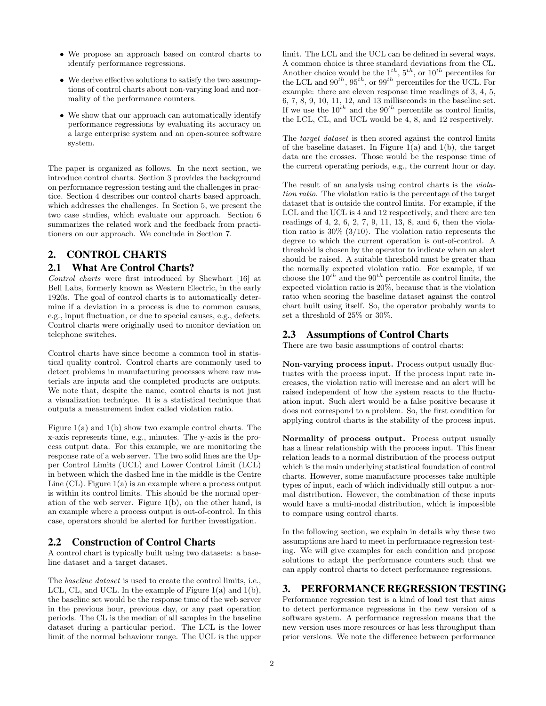- We propose an approach based on control charts to identify performance regressions.
- We derive effective solutions to satisfy the two assumptions of control charts about non-varying load and normality of the performance counters.
- We show that our approach can automatically identify performance regressions by evaluating its accuracy on a large enterprise system and an open-source software system.

The paper is organized as follows. In the next section, we introduce control charts. Section 3 provides the background on performance regression testing and the challenges in practice. Section 4 describes our control charts based approach, which addresses the challenges. In Section 5, we present the two case studies, which evaluate our approach. Section 6 summarizes the related work and the feedback from practitioners on our approach. We conclude in Section 7.

# 2. CONTROL CHARTS

## 2.1 What Are Control Charts?

Control charts were first introduced by Shewhart [16] at Bell Labs, formerly known as Western Electric, in the early 1920s. The goal of control charts is to automatically determine if a deviation in a process is due to common causes, e.g., input fluctuation, or due to special causes, e.g., defects. Control charts were originally used to monitor deviation on telephone switches.

Control charts have since become a common tool in statistical quality control. Control charts are commonly used to detect problems in manufacturing processes where raw materials are inputs and the completed products are outputs. We note that, despite the name, control charts is not just a visualization technique. It is a statistical technique that outputs a measurement index called violation ratio.

Figure 1(a) and 1(b) show two example control charts. The x-axis represents time, e.g., minutes. The y-axis is the process output data. For this example, we are monitoring the response rate of a web server. The two solid lines are the Upper Control Limits (UCL) and Lower Control Limit (LCL) in between which the dashed line in the middle is the Centre Line  $(CL)$ . Figure  $1(a)$  is an example where a process output is within its control limits. This should be the normal operation of the web server. Figure 1(b), on the other hand, is an example where a process output is out-of-control. In this case, operators should be alerted for further investigation.

## 2.2 Construction of Control Charts

A control chart is typically built using two datasets: a baseline dataset and a target dataset.

The baseline dataset is used to create the control limits, i.e., LCL, CL, and UCL. In the example of Figure 1(a) and 1(b), the baseline set would be the response time of the web server in the previous hour, previous day, or any past operation periods. The CL is the median of all samples in the baseline dataset during a particular period. The LCL is the lower limit of the normal behaviour range. The UCL is the upper limit. The LCL and the UCL can be defined in several ways. A common choice is three standard deviations from the CL. Another choice would be the  $1^{th}$ ,  $5^{th}$ , or  $10^{th}$  percentiles for the LCL and  $90^{th}$ ,  $95^{th}$ , or  $99^{th}$  percentiles for the UCL. For example: there are eleven response time readings of 3, 4, 5, 6, 7, 8, 9, 10, 11, 12, and 13 milliseconds in the baseline set. If we use the  $10^{th}$  and the  $90^{th}$  percentile as control limits, the LCL, CL, and UCL would be 4, 8, and 12 respectively.

The target dataset is then scored against the control limits of the baseline dataset. In Figure 1(a) and 1(b), the target data are the crosses. Those would be the response time of the current operating periods, e.g., the current hour or day.

The result of an analysis using control charts is the violation ratio. The violation ratio is the percentage of the target dataset that is outside the control limits. For example, if the LCL and the UCL is 4 and 12 respectively, and there are ten readings of 4, 2, 6, 2, 7, 9, 11, 13, 8, and 6, then the violation ratio is  $30\%$  (3/10). The violation ratio represents the degree to which the current operation is out-of-control. A threshold is chosen by the operator to indicate when an alert should be raised. A suitable threshold must be greater than the normally expected violation ratio. For example, if we choose the  $10^{th}$  and the  $90^{th}$  percentile as control limits, the expected violation ratio is 20%, because that is the violation ratio when scoring the baseline dataset against the control chart built using itself. So, the operator probably wants to set a threshold of 25% or 30%.

# 2.3 Assumptions of Control Charts

There are two basic assumptions of control charts:

Non-varying process input. Process output usually fluctuates with the process input. If the process input rate increases, the violation ratio will increase and an alert will be raised independent of how the system reacts to the fluctuation input. Such alert would be a false positive because it does not correspond to a problem. So, the first condition for applying control charts is the stability of the process input.

Normality of process output. Process output usually has a linear relationship with the process input. This linear relation leads to a normal distribution of the process output which is the main underlying statistical foundation of control charts. However, some manufacture processes take multiple types of input, each of which individually still output a normal distribution. However, the combination of these inputs would have a multi-modal distribution, which is impossible to compare using control charts.

In the following section, we explain in details why these two assumptions are hard to meet in performance regression testing. We will give examples for each condition and propose solutions to adapt the performance counters such that we can apply control charts to detect performance regressions.

# 3. PERFORMANCE REGRESSION TESTING

Performance regression test is a kind of load test that aims to detect performance regressions in the new version of a software system. A performance regression means that the new version uses more resources or has less throughput than prior versions. We note the difference between performance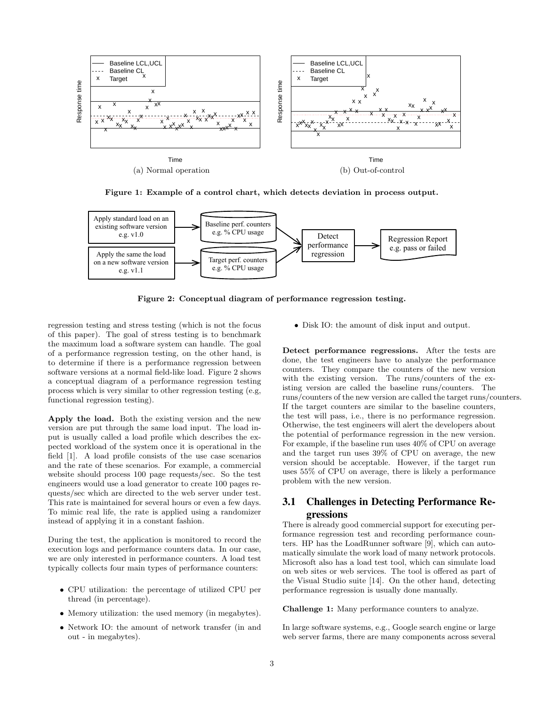

Figure 1: Example of a control chart, which detects deviation in process output.



Figure 2: Conceptual diagram of performance regression testing.

regression testing and stress testing (which is not the focus of this paper). The goal of stress testing is to benchmark the maximum load a software system can handle. The goal of a performance regression testing, on the other hand, is to determine if there is a performance regression between software versions at a normal field-like load. Figure 2 shows a conceptual diagram of a performance regression testing process which is very similar to other regression testing (e.g, functional regression testing).

Apply the load. Both the existing version and the new version are put through the same load input. The load input is usually called a load profile which describes the expected workload of the system once it is operational in the field [1]. A load profile consists of the use case scenarios and the rate of these scenarios. For example, a commercial website should process 100 page requests/sec. So the test engineers would use a load generator to create 100 pages requests/sec which are directed to the web server under test. This rate is maintained for several hours or even a few days. To mimic real life, the rate is applied using a randomizer instead of applying it in a constant fashion.

During the test, the application is monitored to record the execution logs and performance counters data. In our case, we are only interested in performance counters. A load test typically collects four main types of performance counters:

- CPU utilization: the percentage of utilized CPU per thread (in percentage).
- Memory utilization: the used memory (in megabytes).
- Network IO: the amount of network transfer (in and out - in megabytes).

• Disk IO: the amount of disk input and output.

Detect performance regressions. After the tests are done, the test engineers have to analyze the performance counters. They compare the counters of the new version with the existing version. The runs/counters of the existing version are called the baseline runs/counters. The runs/counters of the new version are called the target runs/counters. If the target counters are similar to the baseline counters, the test will pass, i.e., there is no performance regression. Otherwise, the test engineers will alert the developers about the potential of performance regression in the new version. For example, if the baseline run uses 40% of CPU on average and the target run uses 39% of CPU on average, the new version should be acceptable. However, if the target run uses 55% of CPU on average, there is likely a performance problem with the new version.

# 3.1 Challenges in Detecting Performance Regressions

There is already good commercial support for executing performance regression test and recording performance counters. HP has the LoadRunner software [9], which can automatically simulate the work load of many network protocols. Microsoft also has a load test tool, which can simulate load on web sites or web services. The tool is offered as part of the Visual Studio suite [14]. On the other hand, detecting performance regression is usually done manually.

Challenge 1: Many performance counters to analyze.

In large software systems, e.g., Google search engine or large web server farms, there are many components across several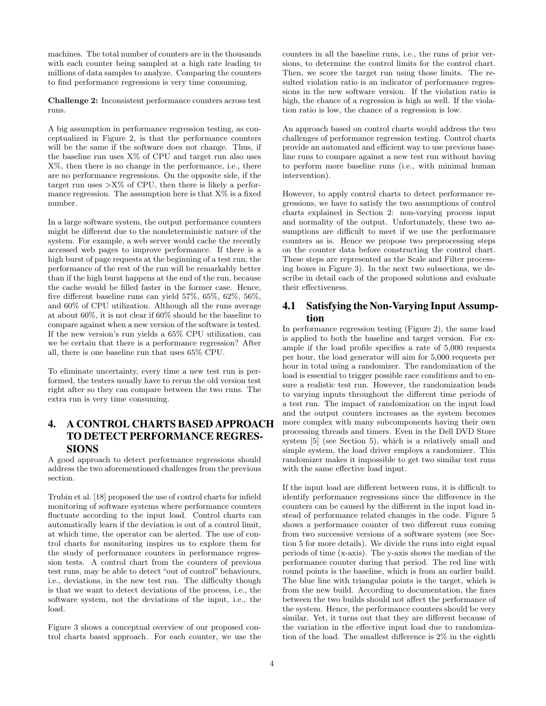machines. The total number of counters are in the thousands with each counter being sampled at a high rate leading to millions of data samples to analyze. Comparing the counters to find performance regressions is very time consuming.

Challenge 2: Inconsistent performance counters across test runs.

A big assumption in performance regression testing, as conceptualized in Figure 2, is that the performance counters will be the same if the software does not change. Thus, if the baseline run uses  $X\%$  of CPU and target run also uses X%, then there is no change in the performance, i.e., there are no performance regressions. On the opposite side, if the target run uses  $>X\%$  of CPU, then there is likely a performance regression. The assumption here is that  $X\%$  is a fixed number.

In a large software system, the output performance counters might be different due to the nondeterministic nature of the system. For example, a web server would cache the recently accessed web pages to improve performance. If there is a high burst of page requests at the beginning of a test run, the performance of the rest of the run will be remarkably better than if the high burst happens at the end of the run, because the cache would be filled faster in the former case. Hence, five different baseline runs can yield 57%, 65%, 62%, 56%, and 60% of CPU utilization. Although all the runs average at about 60%, it is not clear if 60% should be the baseline to compare against when a new version of the software is tested. If the new version's run yields a 65% CPU utilization, can we be certain that there is a performance regression? After all, there is one baseline run that uses 65% CPU.

To eliminate uncertainty, every time a new test run is performed, the testers usually have to rerun the old version test right after so they can compare between the two runs. The extra run is very time consuming.

# 4. A CONTROL CHARTS BASED APPROACH TO DETECT PERFORMANCE REGRES-SIONS

A good approach to detect performance regressions should address the two aforementioned challenges from the previous section.

Trubin et al. [18] proposed the use of control charts for infield monitoring of software systems where performance counters fluctuate according to the input load. Control charts can automatically learn if the deviation is out of a control limit, at which time, the operator can be alerted. The use of control charts for monitoring inspires us to explore them for the study of performance counters in performance regression tests. A control chart from the counters of previous test runs, may be able to detect "out of control" behaviours, i.e., deviations, in the new test run. The difficulty though is that we want to detect deviations of the process, i.e., the software system, not the deviations of the input, i.e., the load.

Figure 3 shows a conceptual overview of our proposed control charts based approach. For each counter, we use the counters in all the baseline runs, i.e., the runs of prior versions, to determine the control limits for the control chart. Then, we score the target run using those limits. The resulted violation ratio is an indicator of performance regressions in the new software version. If the violation ratio is high, the chance of a regression is high as well. If the violation ratio is low, the chance of a regression is low.

An approach based on control charts would address the two challenges of performance regression testing. Control charts provide an automated and efficient way to use previous baseline runs to compare against a new test run without having to perform more baseline runs (i.e., with minimal human intervention).

However, to apply control charts to detect performance regressions, we have to satisfy the two assumptions of control charts explained in Section 2: non-varying process input and normality of the output. Unfortunately, these two assumptions are difficult to meet if we use the performance counters as is. Hence we propose two preprocessing steps on the counter data before constructing the control chart. These steps are represented as the Scale and Filter processing boxes in Figure 3). In the next two subsections, we describe in detail each of the proposed solutions and evaluate their effectiveness.

# 4.1 Satisfying the Non-Varying Input Assumption

In performance regression testing (Figure 2), the same load is applied to both the baseline and target version. For example if the load profile specifies a rate of 5,000 requests per hour, the load generator will aim for 5,000 requests per hour in total using a randomizer. The randomization of the load is essential to trigger possible race conditions and to ensure a realistic test run. However, the randomization leads to varying inputs throughout the different time periods of a test run. The impact of randomization on the input load and the output counters increases as the system becomes more complex with many subcomponents having their own processing threads and timers. Even in the Dell DVD Store system [5] (see Section 5), which is a relatively small and simple system, the load driver employs a randomizer. This randomizer makes it impossible to get two similar test runs with the same effective load input.

If the input load are different between runs, it is difficult to identify performance regressions since the difference in the counters can be caused by the different in the input load instead of performance related changes in the code. Figure 5 shows a performance counter of two different runs coming from two successive versions of a software system (see Section 5 for more details). We divide the runs into eight equal periods of time (x-axis). The y-axis shows the median of the performance counter during that period. The red line with round points is the baseline, which is from an earlier build. The blue line with triangular points is the target, which is from the new build. According to documentation, the fixes between the two builds should not affect the performance of the system. Hence, the performance counters should be very similar. Yet, it turns out that they are different because of the variation in the effective input load due to randomization of the load. The smallest difference is 2% in the eighth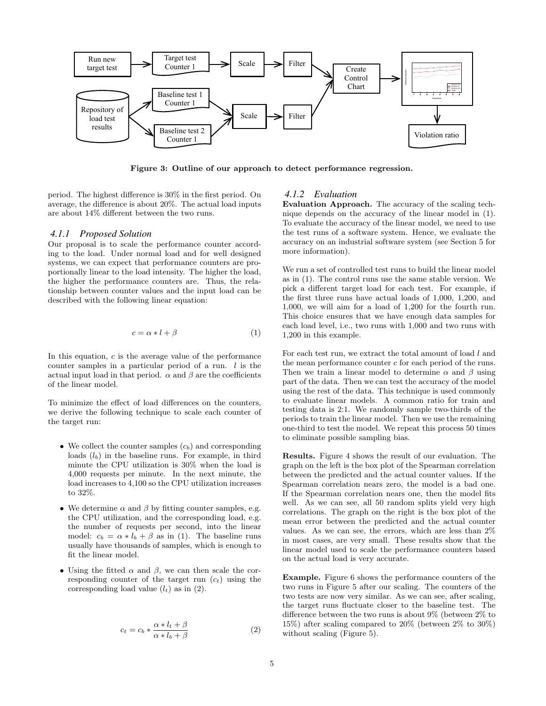

Figure 3: Outline of our approach to detect performance regression.

period. The highest difference is 30% in the first period. On average, the difference is about 20%. The actual load inputs are about 14% different between the two runs.

#### *4.1.1 Proposed Solution*

Our proposal is to scale the performance counter according to the load. Under normal load and for well designed systems, we can expect that performance counters are proportionally linear to the load intensity. The higher the load, the higher the performance counters are. Thus, the relationship between counter values and the input load can be described with the following linear equation:

$$
c = \alpha * l + \beta \tag{1}
$$

In this equation,  $c$  is the average value of the performance counter samples in a particular period of a run.  $l$  is the actual input load in that period.  $\alpha$  and  $\beta$  are the coefficients of the linear model.

To minimize the effect of load differences on the counters, we derive the following technique to scale each counter of the target run:

- We collect the counter samples  $(c_b)$  and corresponding loads  $(l_b)$  in the baseline runs. For example, in third minute the CPU utilization is 30% when the load is 4,000 requests per minute. In the next minute, the load increases to 4,100 so the CPU utilization increases to 32%.
- We determine  $\alpha$  and  $\beta$  by fitting counter samples, e.g. the CPU utilization, and the corresponding load, e.g. the number of requests per second, into the linear model:  $c_b = \alpha * l_b + \beta$  as in (1). The baseline runs usually have thousands of samples, which is enough to fit the linear model.
- Using the fitted  $\alpha$  and  $\beta$ , we can then scale the corresponding counter of the target run  $(c_t)$  using the corresponding load value  $(l_t)$  as in  $(2)$ .

$$
c_t = c_b * \frac{\alpha * l_t + \beta}{\alpha * l_b + \beta} \tag{2}
$$

#### *4.1.2 Evaluation*

Evaluation Approach. The accuracy of the scaling technique depends on the accuracy of the linear model in (1). To evaluate the accuracy of the linear model, we need to use the test runs of a software system. Hence, we evaluate the accuracy on an industrial software system (see Section 5 for more information).

We run a set of controlled test runs to build the linear model as in (1). The control runs use the same stable version. We pick a different target load for each test. For example, if the first three runs have actual loads of 1,000, 1,200, and 1,000, we will aim for a load of 1,200 for the fourth run. This choice ensures that we have enough data samples for each load level, i.e., two runs with 1,000 and two runs with 1,200 in this example.

For each test run, we extract the total amount of load l and the mean performance counter c for each period of the runs. Then we train a linear model to determine  $\alpha$  and  $\beta$  using part of the data. Then we can test the accuracy of the model using the rest of the data. This technique is used commonly to evaluate linear models. A common ratio for train and testing data is 2:1. We randomly sample two-thirds of the periods to train the linear model. Then we use the remaining one-third to test the model. We repeat this process 50 times to eliminate possible sampling bias.

Results. Figure 4 shows the result of our evaluation. The graph on the left is the box plot of the Spearman correlation between the predicted and the actual counter values. If the Spearman correlation nears zero, the model is a bad one. If the Spearman correlation nears one, then the model fits well. As we can see, all 50 random splits yield very high correlations. The graph on the right is the box plot of the mean error between the predicted and the actual counter values. As we can see, the errors, which are less than 2% in most cases, are very small. These results show that the linear model used to scale the performance counters based on the actual load is very accurate.

Example. Figure 6 shows the performance counters of the two runs in Figure 5 after our scaling. The counters of the two tests are now very similar. As we can see, after scaling, the target runs fluctuate closer to the baseline test. The difference between the two runs is about 9% (between 2% to 15%) after scaling compared to 20% (between 2% to 30%) without scaling (Figure 5).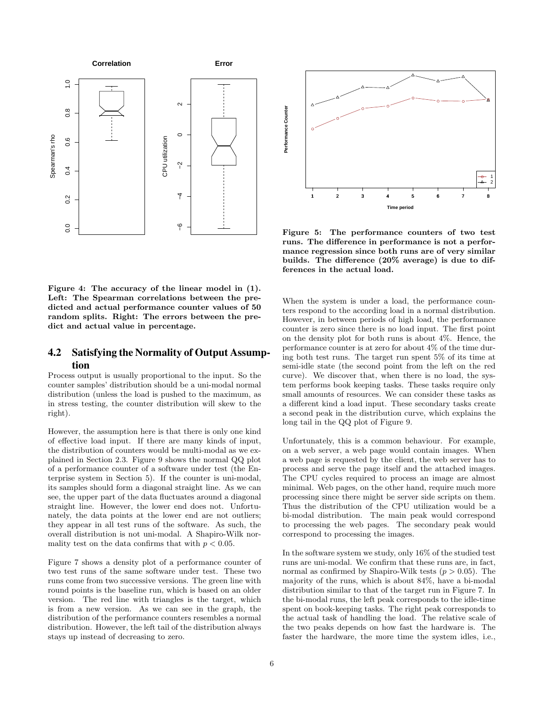

Figure 4: The accuracy of the linear model in (1). Left: The Spearman correlations between the predicted and actual performance counter values of 50 random splits. Right: The errors between the predict and actual value in percentage.

## 4.2 Satisfying the Normality of Output Assumption

Process output is usually proportional to the input. So the counter samples' distribution should be a uni-modal normal distribution (unless the load is pushed to the maximum, as in stress testing, the counter distribution will skew to the right).

However, the assumption here is that there is only one kind of effective load input. If there are many kinds of input, the distribution of counters would be multi-modal as we explained in Section 2.3. Figure 9 shows the normal QQ plot of a performance counter of a software under test (the Enterprise system in Section 5). If the counter is uni-modal, its samples should form a diagonal straight line. As we can see, the upper part of the data fluctuates around a diagonal straight line. However, the lower end does not. Unfortunately, the data points at the lower end are not outliers; they appear in all test runs of the software. As such, the overall distribution is not uni-modal. A Shapiro-Wilk normality test on the data confirms that with  $p < 0.05$ .

Figure 7 shows a density plot of a performance counter of two test runs of the same software under test. These two runs come from two successive versions. The green line with round points is the baseline run, which is based on an older version. The red line with triangles is the target, which is from a new version. As we can see in the graph, the distribution of the performance counters resembles a normal distribution. However, the left tail of the distribution always stays up instead of decreasing to zero.



Figure 5: The performance counters of two test runs. The difference in performance is not a performance regression since both runs are of very similar builds. The difference (20% average) is due to differences in the actual load.

When the system is under a load, the performance counters respond to the according load in a normal distribution. However, in between periods of high load, the performance counter is zero since there is no load input. The first point on the density plot for both runs is about 4%. Hence, the performance counter is at zero for about 4% of the time during both test runs. The target run spent 5% of its time at semi-idle state (the second point from the left on the red curve). We discover that, when there is no load, the system performs book keeping tasks. These tasks require only small amounts of resources. We can consider these tasks as a different kind a load input. These secondary tasks create a second peak in the distribution curve, which explains the long tail in the QQ plot of Figure 9.

Unfortunately, this is a common behaviour. For example, on a web server, a web page would contain images. When a web page is requested by the client, the web server has to process and serve the page itself and the attached images. The CPU cycles required to process an image are almost minimal. Web pages, on the other hand, require much more processing since there might be server side scripts on them. Thus the distribution of the CPU utilization would be a bi-modal distribution. The main peak would correspond to processing the web pages. The secondary peak would correspond to processing the images.

In the software system we study, only 16% of the studied test runs are uni-modal. We confirm that these runs are, in fact, normal as confirmed by Shapiro-Wilk tests ( $p > 0.05$ ). The majority of the runs, which is about 84%, have a bi-modal distribution similar to that of the target run in Figure 7. In the bi-modal runs, the left peak corresponds to the idle-time spent on book-keeping tasks. The right peak corresponds to the actual task of handling the load. The relative scale of the two peaks depends on how fast the hardware is. The faster the hardware, the more time the system idles, i.e.,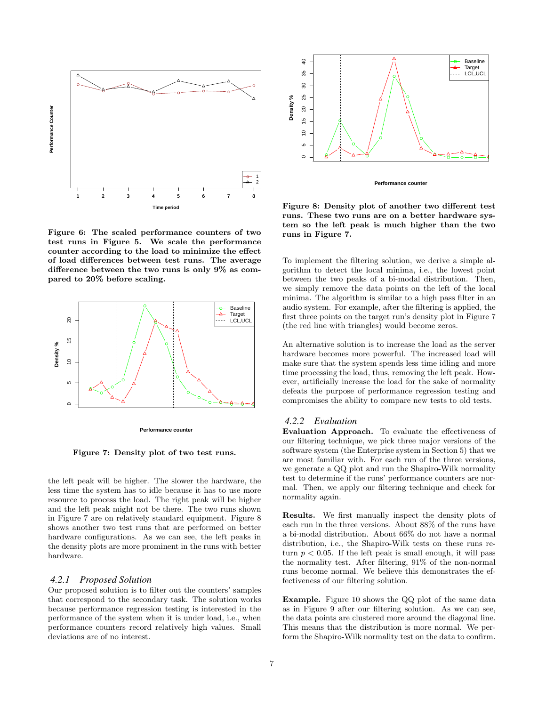

Figure 6: The scaled performance counters of two test runs in Figure 5. We scale the performance counter according to the load to minimize the effect of load differences between test runs. The average difference between the two runs is only 9% as compared to 20% before scaling.



Figure 7: Density plot of two test runs.

the left peak will be higher. The slower the hardware, the less time the system has to idle because it has to use more resource to process the load. The right peak will be higher and the left peak might not be there. The two runs shown in Figure 7 are on relatively standard equipment. Figure 8 shows another two test runs that are performed on better hardware configurations. As we can see, the left peaks in the density plots are more prominent in the runs with better hardware.

#### *4.2.1 Proposed Solution*

Our proposed solution is to filter out the counters' samples that correspond to the secondary task. The solution works because performance regression testing is interested in the performance of the system when it is under load, i.e., when performance counters record relatively high values. Small deviations are of no interest.



Figure 8: Density plot of another two different test runs. These two runs are on a better hardware system so the left peak is much higher than the two runs in Figure 7.

To implement the filtering solution, we derive a simple algorithm to detect the local minima, i.e., the lowest point between the two peaks of a bi-modal distribution. Then, we simply remove the data points on the left of the local minima. The algorithm is similar to a high pass filter in an audio system. For example, after the filtering is applied, the first three points on the target run's density plot in Figure 7 (the red line with triangles) would become zeros.

An alternative solution is to increase the load as the server hardware becomes more powerful. The increased load will make sure that the system spends less time idling and more time processing the load, thus, removing the left peak. However, artificially increase the load for the sake of normality defeats the purpose of performance regression testing and compromises the ability to compare new tests to old tests.

#### *4.2.2 Evaluation*

Evaluation Approach. To evaluate the effectiveness of our filtering technique, we pick three major versions of the software system (the Enterprise system in Section 5) that we are most familiar with. For each run of the three versions, we generate a QQ plot and run the Shapiro-Wilk normality test to determine if the runs' performance counters are normal. Then, we apply our filtering technique and check for normality again.

Results. We first manually inspect the density plots of each run in the three versions. About 88% of the runs have a bi-modal distribution. About 66% do not have a normal distribution, i.e., the Shapiro-Wilk tests on these runs return  $p < 0.05$ . If the left peak is small enough, it will pass the normality test. After filtering, 91% of the non-normal runs become normal. We believe this demonstrates the effectiveness of our filtering solution.

Example. Figure 10 shows the QQ plot of the same data as in Figure 9 after our filtering solution. As we can see, the data points are clustered more around the diagonal line. This means that the distribution is more normal. We perform the Shapiro-Wilk normality test on the data to confirm.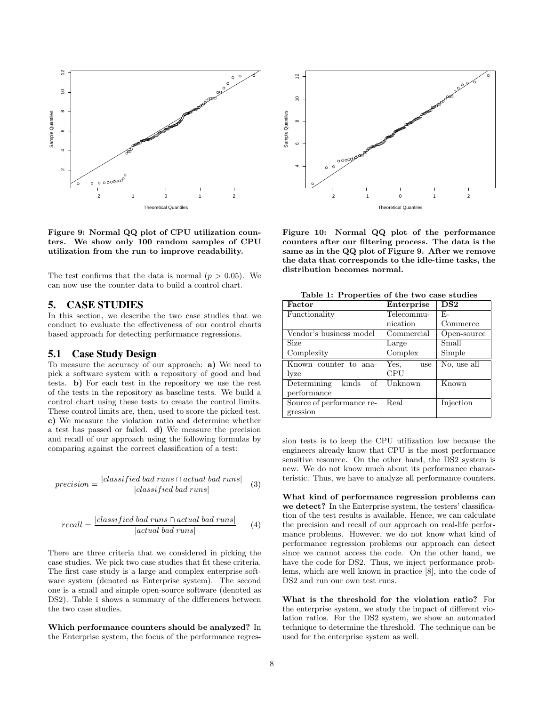

Figure 9: Normal QQ plot of CPU utilization counters. We show only 100 random samples of CPU utilization from the run to improve readability.

The test confirms that the data is normal  $(p > 0.05)$ . We can now use the counter data to build a control chart.

## 5. CASE STUDIES

In this section, we describe the two case studies that we conduct to evaluate the effectiveness of our control charts based approach for detecting performance regressions.

#### 5.1 Case Study Design

To measure the accuracy of our approach: a) We need to pick a software system with a repository of good and bad tests. b) For each test in the repository we use the rest of the tests in the repository as baseline tests. We build a control chart using these tests to create the control limits. These control limits are, then, used to score the picked test. c) We measure the violation ratio and determine whether a test has passed or failed. d) We measure the precision and recall of our approach using the following formulas by comparing against the correct classification of a test:

$$
precision = \frac{|classified\ bad\ runs \cap actual\ bad\ runs|}{|classified\ bad\ runs|} \tag{3}
$$

$$
recall = \frac{|classified\ bad\ runs \cap actual\ bad\ runs|}{|actual\ bad\ runs|} \tag{4}
$$

There are three criteria that we considered in picking the case studies. We pick two case studies that fit these criteria. The first case study is a large and complex enterprise software system (denoted as Enterprise system). The second one is a small and simple open-source software (denoted as DS2). Table 1 shows a summary of the differences between the two case studies.

Which performance counters should be analyzed? In the Enterprise system, the focus of the performance regres-



Figure 10: Normal QQ plot of the performance counters after our filtering process. The data is the same as in the QQ plot of Figure 9. After we remove the data that corresponds to the idle-time tasks, the distribution becomes normal.

| Factor                  | Enterprise | DS <sub>2</sub> |
|-------------------------|------------|-----------------|
| Functionality           | Telecommu- | F.-             |
|                         | nication   | Commerce        |
| Vendor's business model | Commercial | Open-source     |
| Size                    | Large      | Small           |

Yes, use CPU

Unknown Known

Real Injection

No, use all

Complexity Complex Simple

Known counter to ana-

Determining kinds of

Source of performance re-

lyze

performance

gression

Table 1: Properties of the two case studies

sion tests is to keep the CPU utilization low because the engineers already know that CPU is the most performance sensitive resource. On the other hand, the DS2 system is new. We do not know much about its performance characteristic. Thus, we have to analyze all performance counters.

What kind of performance regression problems can we detect? In the Enterprise system, the testers' classification of the test results is available. Hence, we can calculate the precision and recall of our approach on real-life performance problems. However, we do not know what kind of performance regression problems our approach can detect since we cannot access the code. On the other hand, we have the code for DS2. Thus, we inject performance problems, which are well known in practice [8], into the code of DS2 and run our own test runs.

What is the threshold for the violation ratio? For the enterprise system, we study the impact of different violation ratios. For the DS2 system, we show an automated technique to determine the threshold. The technique can be used for the enterprise system as well.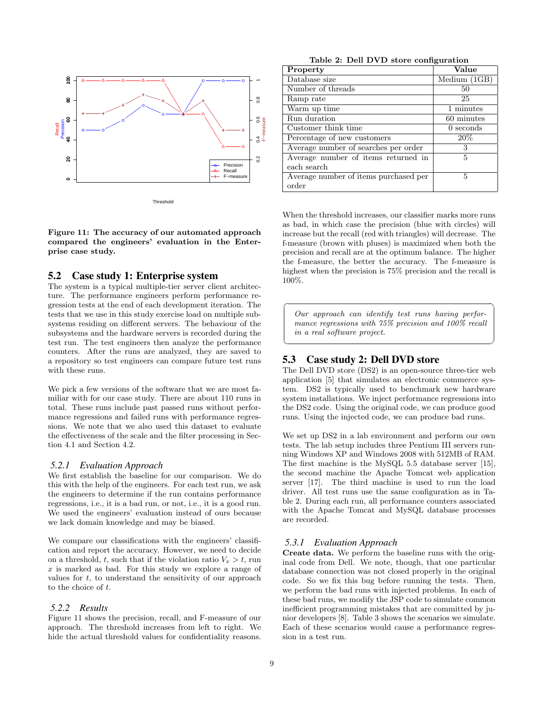

Figure 11: The accuracy of our automated approach compared the engineers' evaluation in the Enterprise case study.

### 5.2 Case study 1: Enterprise system

The system is a typical multiple-tier server client architecture. The performance engineers perform performance regression tests at the end of each development iteration. The tests that we use in this study exercise load on multiple subsystems residing on different servers. The behaviour of the subsystems and the hardware servers is recorded during the test run. The test engineers then analyze the performance counters. After the runs are analyzed, they are saved to a repository so test engineers can compare future test runs with these runs.

We pick a few versions of the software that we are most familiar with for our case study. There are about 110 runs in total. These runs include past passed runs without performance regressions and failed runs with performance regressions. We note that we also used this dataset to evaluate the effectiveness of the scale and the filter processing in Section 4.1 and Section 4.2.

#### *5.2.1 Evaluation Approach*

We first establish the baseline for our comparison. We do this with the help of the engineers. For each test run, we ask the engineers to determine if the run contains performance regressions, i.e., it is a bad run, or not, i.e., it is a good run. We used the engineers' evaluation instead of ours because we lack domain knowledge and may be biased.

We compare our classifications with the engineers' classification and report the accuracy. However, we need to decide on a threshold, t, such that if the violation ratio  $V_x > t$ , run  $x$  is marked as bad. For this study we explore a range of values for  $t$ , to understand the sensitivity of our approach to the choice of t.

#### *5.2.2 Results*

Figure 11 shows the precision, recall, and F-measure of our approach. The threshold increases from left to right. We hide the actual threshold values for confidentiality reasons.

Table 2: Dell DVD store configuration

| Property                              | Value          |
|---------------------------------------|----------------|
| Database size                         | Medium $(1GB)$ |
| Number of threads                     | 50             |
| Ramp rate                             | 25             |
| Warm up time                          | 1 minutes      |
| Run duration                          | 60 minutes     |
| Customer think time                   | $0$ seconds    |
| Percentage of new customers           | 20%            |
| Average number of searches per order  | 3              |
| Average number of items returned in   | 5              |
| each search                           |                |
| Average number of items purchased per | 5              |
| order                                 |                |

When the threshold increases, our classifier marks more runs as bad, in which case the precision (blue with circles) will increase but the recall (red with triangles) will decrease. The f-measure (brown with pluses) is maximized when both the precision and recall are at the optimum balance. The higher the f-measure, the better the accuracy. The f-measure is highest when the precision is 75% precision and the recall is 100%.

Our approach can identify test runs having performance regressions with  $75\%$  precision and  $100\%$  recall in a real software project.

☎

✆

#### 5.3 Case study 2: Dell DVD store

 $\overline{a}$ 

✝

The Dell DVD store (DS2) is an open-source three-tier web application [5] that simulates an electronic commerce system. DS2 is typically used to benchmark new hardware system installations. We inject performance regressions into the DS2 code. Using the original code, we can produce good runs. Using the injected code, we can produce bad runs.

We set up DS2 in a lab environment and perform our own tests. The lab setup includes three Pentium III servers running Windows XP and Windows 2008 with 512MB of RAM. The first machine is the MySQL 5.5 database server [15], the second machine the Apache Tomcat web application server [17]. The third machine is used to run the load driver. All test runs use the same configuration as in Table 2. During each run, all performance counters associated with the Apache Tomcat and MySQL database processes are recorded.

#### *5.3.1 Evaluation Approach*

Create data. We perform the baseline runs with the original code from Dell. We note, though, that one particular database connection was not closed properly in the original code. So we fix this bug before running the tests. Then, we perform the bad runs with injected problems. In each of these bad runs, we modify the JSP code to simulate common inefficient programming mistakes that are committed by junior developers [8]. Table 3 shows the scenarios we simulate. Each of these scenarios would cause a performance regression in a test run.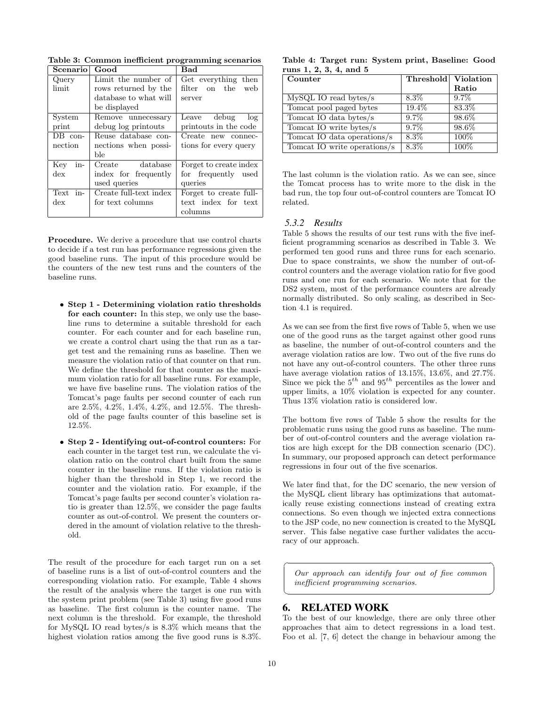Table 3: Common inefficient programming scenarios

| Scenario       | Good                   | Bad                    |
|----------------|------------------------|------------------------|
| Query          | Limit the number of    | Get everything then    |
| limit          | rows returned by the   | filter on the<br>web   |
|                | database to what will  | server                 |
|                | be displayed           |                        |
| System         | Remove unnecessary     | Leave debug log        |
| print          | debug log printouts    | printouts in the code  |
| $DB$ con-      | Reuse database con-    | Create new connec-     |
| nection        | nections when possi-   | tions for every query  |
|                | ble                    |                        |
| in-<br>Key     | Create database        | Forget to create index |
| $\frac{d}{dx}$ | index for frequently   | for frequently used    |
|                | used queries           | queries                |
| in-<br>Text    | Create full-text index | Forget to create full- |
| $\frac{d}{dx}$ | for text columns       | text index for text    |
|                |                        | columns                |

Procedure. We derive a procedure that use control charts to decide if a test run has performance regressions given the good baseline runs. The input of this procedure would be the counters of the new test runs and the counters of the baseline runs.

- Step 1 Determining violation ratio thresholds for each counter: In this step, we only use the baseline runs to determine a suitable threshold for each counter. For each counter and for each baseline run, we create a control chart using the that run as a target test and the remaining runs as baseline. Then we measure the violation ratio of that counter on that run. We define the threshold for that counter as the maximum violation ratio for all baseline runs. For example, we have five baseline runs. The violation ratios of the Tomcat's page faults per second counter of each run are 2.5%, 4.2%, 1.4%, 4.2%, and 12.5%. The threshold of the page faults counter of this baseline set is 12.5%.
- Step 2 Identifying out-of-control counters: For each counter in the target test run, we calculate the violation ratio on the control chart built from the same counter in the baseline runs. If the violation ratio is higher than the threshold in Step 1, we record the counter and the violation ratio. For example, if the Tomcat's page faults per second counter's violation ratio is greater than 12.5%, we consider the page faults counter as out-of-control. We present the counters ordered in the amount of violation relative to the threshold.

The result of the procedure for each target run on a set of baseline runs is a list of out-of-control counters and the corresponding violation ratio. For example, Table 4 shows the result of the analysis where the target is one run with the system print problem (see Table 3) using five good runs as baseline. The first column is the counter name. The next column is the threshold. For example, the threshold for MySQL IO read bytes/s is 8.3% which means that the highest violation ratios among the five good runs is 8.3%.

| Table 4: Target run: System print, Baseline: Good |  |  |
|---------------------------------------------------|--|--|
| runs 1, 2, 3, 4, and 5                            |  |  |

| Counter                      | Threshold Violation |         |
|------------------------------|---------------------|---------|
|                              |                     | Ratio   |
| $MySQL IO$ read bytes/s      | $8.3\%$             | $9.7\%$ |
| Tomcat pool paged bytes      | $19.4\%$            | 83.3%   |
| Tomcat IO data bytes/s       | $9.7\%$             | 98.6%   |
| Tomcat IO write bytes/s      | $9.7\%$             | 98.6%   |
| Tomcat IO data operations/s  | $8.3\%$             | $100\%$ |
| Tomcat IO write operations/s | $8.3\%$             | 100%    |

The last column is the violation ratio. As we can see, since the Tomcat process has to write more to the disk in the bad run, the top four out-of-control counters are Tomcat IO related.

#### *5.3.2 Results*

Table 5 shows the results of our test runs with the five inefficient programming scenarios as described in Table 3. We performed ten good runs and three runs for each scenario. Due to space constraints, we show the number of out-ofcontrol counters and the average violation ratio for five good runs and one run for each scenario. We note that for the DS2 system, most of the performance counters are already normally distributed. So only scaling, as described in Section 4.1 is required.

As we can see from the first five rows of Table 5, when we use one of the good runs as the target against other good runs as baseline, the number of out-of-control counters and the average violation ratios are low. Two out of the five runs do not have any out-of-control counters. The other three runs have average violation ratios of 13.15%, 13.6%, and 27.7%. Since we pick the  $5^{th}$  and  $95^{th}$  percentiles as the lower and upper limits, a 10% violation is expected for any counter. Thus 13% violation ratio is considered low.

The bottom five rows of Table 5 show the results for the problematic runs using the good runs as baseline. The number of out-of-control counters and the average violation ratios are high except for the DB connection scenario (DC). In summary, our proposed approach can detect performance regressions in four out of the five scenarios.

We later find that, for the DC scenario, the new version of the MySQL client library has optimizations that automatically reuse existing connections instead of creating extra connections. So even though we injected extra connections to the JSP code, no new connection is created to the MySQL server. This false negative case further validates the accuracy of our approach.

Our approach can identify four out of five common inefficient programming scenarios.

☎

✆

# 6. RELATED WORK

To the best of our knowledge, there are only three other approaches that aim to detect regressions in a load test. Foo et al. [7, 6] detect the change in behaviour among the

 $\overline{a}$ 

✝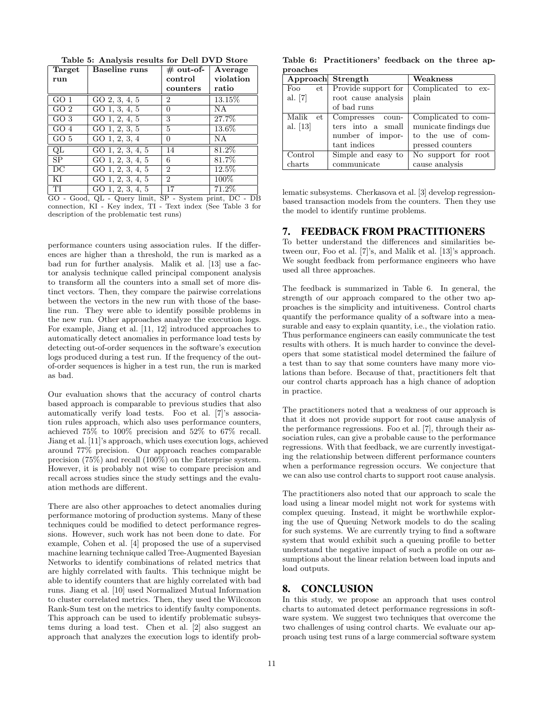| Target          | <b>Baseline</b> runs       | $\#$ out-of-   | Average   |
|-----------------|----------------------------|----------------|-----------|
| run             |                            | control        | violation |
|                 |                            | counters       | ratio     |
| GO <sub>1</sub> | GO $2, \overline{3, 4, 5}$ | $\overline{2}$ | 13.15%    |
| GO <sub>2</sub> | GO 1, 3, 4, $5$            | $\theta$       | <b>NA</b> |
| GO <sub>3</sub> | $\overline{GO1, 2, 4, 5}$  | 3              | 27.7%     |
| GO 4            | GO 1, 2, 3, $5$            | 5              | 13.6%     |
| GO 5            | GO $1, 2, 3, 4$            | $\overline{0}$ | N A       |
| QL              | GO $1, 2, 3, 4, 5$         | 14             | 81.2%     |
| <b>SP</b>       | GO 1, 2, 3, 4, 5           | 6              | 81.7%     |
| $\overline{DC}$ | GO $1, 2, 3, 4, 5$         | $\overline{2}$ | 12.5%     |
| ΚI              | GO 1, 2, 3, 4, 5           | $\overline{2}$ | 100%      |
| TI              | GO 1, 2, 3, 4, 5           | 17             | 71.2%     |

Table 5: Analysis results for Dell DVD Store

GO - Good, QL - Query limit, SP - System print, DC - DB connection, KI - Key index, TI - Text index (See Table 3 for description of the problematic test runs)

performance counters using association rules. If the differences are higher than a threshold, the run is marked as a bad run for further analysis. Malik et al. [13] use a factor analysis technique called principal component analysis to transform all the counters into a small set of more distinct vectors. Then, they compare the pairwise correlations between the vectors in the new run with those of the baseline run. They were able to identify possible problems in the new run. Other approaches analyze the execution logs. For example, Jiang et al. [11, 12] introduced approaches to automatically detect anomalies in performance load tests by detecting out-of-order sequences in the software's execution logs produced during a test run. If the frequency of the outof-order sequences is higher in a test run, the run is marked as bad.

Our evaluation shows that the accuracy of control charts based approach is comparable to previous studies that also automatically verify load tests. Foo et al. [7]'s association rules approach, which also uses performance counters, achieved 75% to 100% precision and 52% to 67% recall. Jiang et al. [11]'s approach, which uses execution logs, achieved around 77% precision. Our approach reaches comparable precision (75%) and recall (100%) on the Enterprise system. However, it is probably not wise to compare precision and recall across studies since the study settings and the evaluation methods are different.

There are also other approaches to detect anomalies during performance motoring of production systems. Many of these techniques could be modified to detect performance regressions. However, such work has not been done to date. For example, Cohen et al. [4] proposed the use of a supervised machine learning technique called Tree-Augmented Bayesian Networks to identify combinations of related metrics that are highly correlated with faults. This technique might be able to identify counters that are highly correlated with bad runs. Jiang et al. [10] used Normalized Mutual Information to cluster correlated metrics. Then, they used the Wilcoxon Rank-Sum test on the metrics to identify faulty components. This approach can be used to identify problematic subsystems during a load test. Chen et al. [2] also suggest an approach that analyzes the execution logs to identify prob-

Table 6: Practitioners' feedback on the three approaches

| Approach Strength |                          | Weakness              |
|-------------------|--------------------------|-----------------------|
| Foo               | et   Provide support for | Complicated to ex-    |
| al. $[7]$         | root cause analysis      | plain                 |
|                   | of bad runs              |                       |
| Malik<br>et.      | Compresses coun-         | Complicated to com-   |
| al. $[13]$        | ters into a small        | municate findings due |
|                   | number of impor-         | to the use of com-    |
|                   | tant indices             | pressed counters      |
| Control           | Simple and easy to       | No support for root   |
| charts            | communicate              | cause analysis        |

lematic subsystems. Cherkasova et al. [3] develop regressionbased transaction models from the counters. Then they use the model to identify runtime problems.

# 7. FEEDBACK FROM PRACTITIONERS

To better understand the differences and similarities between our, Foo et al. [7]'s, and Malik et al. [13]'s approach. We sought feedback from performance engineers who have used all three approaches.

The feedback is summarized in Table 6. In general, the strength of our approach compared to the other two approaches is the simplicity and intuitiveness. Control charts quantify the performance quality of a software into a measurable and easy to explain quantity, i.e., the violation ratio. Thus performance engineers can easily communicate the test results with others. It is much harder to convince the developers that some statistical model determined the failure of a test than to say that some counters have many more violations than before. Because of that, practitioners felt that our control charts approach has a high chance of adoption in practice.

The practitioners noted that a weakness of our approach is that it does not provide support for root cause analysis of the performance regressions. Foo et al. [7], through their association rules, can give a probable cause to the performance regressions. With that feedback, we are currently investigating the relationship between different performance counters when a performance regression occurs. We conjecture that we can also use control charts to support root cause analysis.

The practitioners also noted that our approach to scale the load using a linear model might not work for systems with complex queuing. Instead, it might be worthwhile exploring the use of Queuing Network models to do the scaling for such systems. We are currently trying to find a software system that would exhibit such a queuing profile to better understand the negative impact of such a profile on our assumptions about the linear relation between load inputs and load outputs.

## 8. CONCLUSION

In this study, we propose an approach that uses control charts to automated detect performance regressions in software system. We suggest two techniques that overcome the two challenges of using control charts. We evaluate our approach using test runs of a large commercial software system